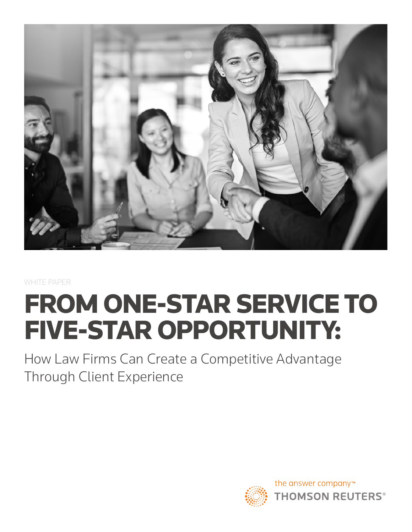

WHITE PAPER

# FROM ONE-STAR SERVICE TO FIVE-STAR OPPORTUNITY:

How Law Firms Can Create a Competitive Advantage Through Client Experience

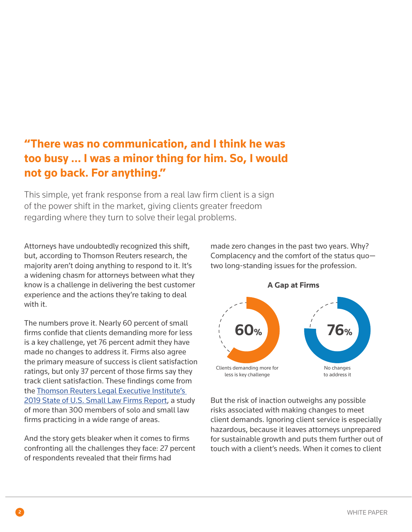#### **"There was no communication, and I think he was too busy … I was a minor thing for him. So, I would not go back. For anything."**

This simple, yet frank response from a real law firm client is a sign of the power shift in the market, giving clients greater freedom regarding where they turn to solve their legal problems.

Attorneys have undoubtedly recognized this shift, but, according to Thomson Reuters research, the majority aren't doing anything to respond to it. It's a widening chasm for attorneys between what they know is a challenge in delivering the best customer experience and the actions they're taking to deal with it.

The numbers prove it. Nearly 60 percent of small firms confide that clients demanding more for less is a key challenge, yet 76 percent admit they have made no changes to address it. Firms also agree the primary measure of success is client satisfaction ratings, but only 37 percent of those firms say they track client satisfaction. These findings come from the [Thomson Reuters Legal Executive Institute's](http://www.legalexecutiveinstitute.com/small-law-firms-report-2019/)  [2019 State of U.S. Small Law Firms Report](http://www.legalexecutiveinstitute.com/small-law-firms-report-2019/), a study of more than 300 members of solo and small law firms practicing in a wide range of areas.

And the story gets bleaker when it comes to firms confronting all the challenges they face: 27 percent of respondents revealed that their firms had

made zero changes in the past two years. Why? Complacency and the comfort of the status quo two long-standing issues for the profession.



But the risk of inaction outweighs any possible risks associated with making changes to meet client demands. Ignoring client service is especially hazardous, because it leaves attorneys unprepared for sustainable growth and puts them further out of touch with a client's needs. When it comes to client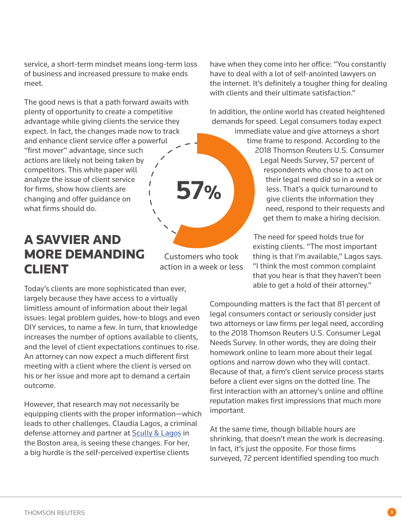service, a short-term mindset means long-term loss of business and increased pressure to make ends meet.

The good news is that a path forward awaits with plenty of opportunity to create a competitive advantage while giving clients the service they expect. In fact, the changes made now to track and enhance client service offer a powerful "first mover" advantage, since such actions are likely not being taken by competitors. This white paper will analyze the issue of client service  $\mathbf{I}$ **57%** for firms, show how clients are changing and offer guidance on what firms should do.

#### A SAVVIER AND MORE DEMANDING CLIENT

Customers who took action in a week or less

Today's clients are more sophisticated than ever, largely because they have access to a virtually limitless amount of information about their legal issues: legal problem guides, how-to blogs and even DIY services, to name a few. In turn, that knowledge increases the number of options available to clients, and the level of client expectations continues to rise. An attorney can now expect a much different first meeting with a client where the client is versed on his or her issue and more apt to demand a certain outcome.

However, that research may not necessarily be equipping clients with the proper information—which leads to other challenges. Claudia Lagos, a criminal defense attorney and partner at [Scully & Lagos](https://www.liamdscully.com/) in the Boston area, is seeing these changes. For her, a big hurdle is the self-perceived expertise clients

have when they come into her office: "You constantly have to deal with a lot of self-anointed lawyers on the internet. It's definitely a tougher thing for dealing with clients and their ultimate satisfaction."

In addition, the online world has created heightened demands for speed. Legal consumers today expect

> immediate value and give attorneys a short time frame to respond. According to the 2018 Thomson Reuters U.S. Consumer Legal Needs Survey, 57 percent of respondents who chose to act on their legal need did so in a week or less. That's a quick turnaround to give clients the information they need, respond to their requests and get them to make a hiring decision.

> > The need for speed holds true for existing clients. "The most important thing is that I'm available," Lagos says. "I think the most common complaint that you hear is that they haven't been able to get a hold of their attorney."

Compounding matters is the fact that 81 percent of legal consumers contact or seriously consider just two attorneys or law firms per legal need, according to the 2018 Thomson Reuters U.S. Consumer Legal Needs Survey. In other words, they are doing their homework online to learn more about their legal options and narrow down who they will contact. Because of that, a firm's client service process starts before a client ever signs on the dotted line. The first interaction with an attorney's online and offline reputation makes first impressions that much more important.

At the same time, though billable hours are shrinking, that doesn't mean the work is decreasing. In fact, it's just the opposite. For those firms surveyed, 72 percent identified spending too much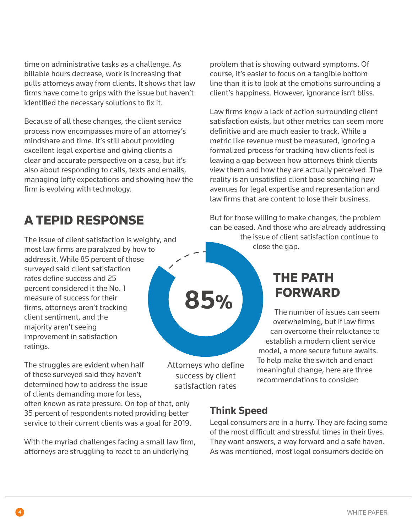time on administrative tasks as a challenge. As billable hours decrease, work is increasing that pulls attorneys away from clients. It shows that law firms have come to grips with the issue but haven't identified the necessary solutions to fix it.

Because of all these changes, the client service process now encompasses more of an attorney's mindshare and time. It's still about providing excellent legal expertise and giving clients a clear and accurate perspective on a case, but it's also about responding to calls, texts and emails, managing lofty expectations and showing how the firm is evolving with technology.

### A TEPID RESPONSE

The issue of client satisfaction is weighty, and most law firms are paralyzed by how to address it. While 85 percent of those surveyed said client satisfaction rates define success and 25 percent considered it the No. 1 measure of success for their firms, attorneys aren't tracking client sentiment, and the majority aren't seeing improvement in satisfaction ratings.

The struggles are evident when half of those surveyed said they haven't determined how to address the issue of clients demanding more for less,

often known as rate pressure. On top of that, only 35 percent of respondents noted providing better service to their current clients was a goal for 2019.

With the myriad challenges facing a small law firm, attorneys are struggling to react to an underlying

problem that is showing outward symptoms. Of course, it's easier to focus on a tangible bottom line than it is to look at the emotions surrounding a client's happiness. However, ignorance isn't bliss.

Law firms know a lack of action surrounding client satisfaction exists, but other metrics can seem more definitive and are much easier to track. While a metric like revenue must be measured, ignoring a formalized process for tracking how clients feel is leaving a gap between how attorneys think clients view them and how they are actually perceived. The reality is an unsatisfied client base searching new avenues for legal expertise and representation and law firms that are content to lose their business.

But for those willing to make changes, the problem can be eased. And those who are already addressing

> the issue of client satisfaction continue to close the gap.

#### THE PATH FORWARD

The number of issues can seem overwhelming, but if law firms can overcome their reluctance to establish a modern client service model, a more secure future awaits. To help make the switch and enact meaningful change, here are three recommendations to consider:

Attorneys who define success by client satisfaction rates

**85%**

#### **Think Speed**

Legal consumers are in a hurry. They are facing some of the most difficult and stressful times in their lives. They want answers, a way forward and a safe haven. As was mentioned, most legal consumers decide on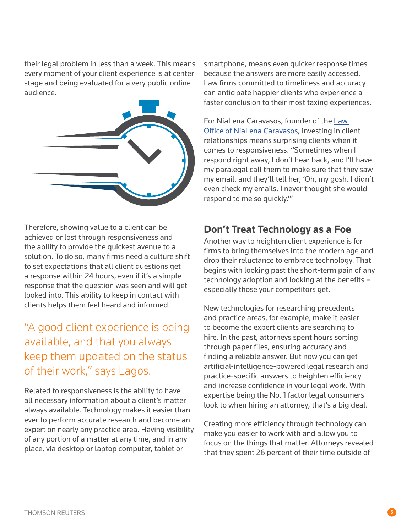their legal problem in less than a week. This means every moment of your client experience is at center stage and being evaluated for a very public online audience.



Therefore, showing value to a client can be achieved or lost through responsiveness and the ability to provide the quickest avenue to a solution. To do so, many firms need a culture shift to set expectations that all client questions get a response within 24 hours, even if it's a simple response that the question was seen and will get looked into. This ability to keep in contact with clients helps them feel heard and informed.

#### "A good client experience is being available, and that you always keep them updated on the status of their work," says Lagos.

Related to responsiveness is the ability to have all necessary information about a client's matter always available. Technology makes it easier than ever to perform accurate research and become an expert on nearly any practice area. Having visibility of any portion of a matter at any time, and in any place, via desktop or laptop computer, tablet or

smartphone, means even quicker response times because the answers are more easily accessed. Law firms committed to timeliness and accuracy can anticipate happier clients who experience a faster conclusion to their most taxing experiences.

For NiaLena Caravasos, founder of the [Law](https://nialena.com/)  [Office of NiaLena Caravasos,](https://nialena.com/) investing in client relationships means surprising clients when it comes to responsiveness. "Sometimes when I respond right away, I don't hear back, and I'll have my paralegal call them to make sure that they saw my email, and they'll tell her, 'Oh, my gosh. I didn't even check my emails. I never thought she would respond to me so quickly.'"

#### **Don't Treat Technology as a Foe**

Another way to heighten client experience is for firms to bring themselves into the modern age and drop their reluctance to embrace technology. That begins with looking past the short-term pain of any technology adoption and looking at the benefits – especially those your competitors get.

New technologies for researching precedents and practice areas, for example, make it easier to become the expert clients are searching to hire. In the past, attorneys spent hours sorting through paper files, ensuring accuracy and finding a reliable answer. But now you can get artificial-intelligence-powered legal research and practice-specific answers to heighten efficiency and increase confidence in your legal work. With expertise being the No. 1 factor legal consumers look to when hiring an attorney, that's a big deal.

Creating more efficiency through technology can make you easier to work with and allow you to focus on the things that matter. Attorneys revealed that they spent 26 percent of their time outside of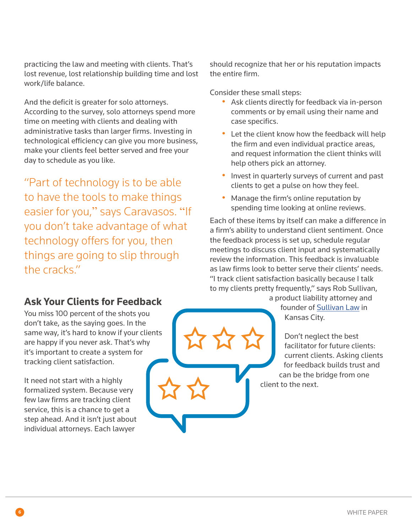practicing the law and meeting with clients. That's lost revenue, lost relationship building time and lost work/life balance.

And the deficit is greater for solo attorneys. According to the survey, solo attorneys spend more time on meeting with clients and dealing with administrative tasks than larger firms. Investing in technological efficiency can give you more business, make your clients feel better served and free your day to schedule as you like.

"Part of technology is to be able to have the tools to make things easier for you," says Caravasos. "If you don't take advantage of what technology offers for you, then things are going to slip through the cracks."

should recognize that her or his reputation impacts the entire firm.

Consider these small steps:

- Ask clients directly for feedback via in-person comments or by email using their name and case specifics.
- Let the client know how the feedback will help the firm and even individual practice areas, and request information the client thinks will help others pick an attorney.
- Invest in quarterly surveys of current and past clients to get a pulse on how they feel.
- Manage the firm's online reputation by spending time looking at online reviews.

Each of these items by itself can make a difference in a firm's ability to understand client sentiment. Once the feedback process is set up, schedule regular meetings to discuss client input and systematically review the information. This feedback is invaluable as law firms look to better serve their clients' needs. "I track client satisfaction basically because I talk to my clients pretty frequently," says Rob Sullivan,

a product liability attorney and founder of [Sullivan Law](https://www.sullivantrial.com/) in Kansas City.

Don't neglect the best facilitator for future clients: current clients. Asking clients for feedback builds trust and can be the bridge from one client to the next.

#### **Ask Your Clients for Feedback**

You miss 100 percent of the shots you don't take, as the saying goes. In the same way, it's hard to know if your clients are happy if you never ask. That's why it's important to create a system for tracking client satisfaction.

It need not start with a highly formalized system. Because very few law firms are tracking client service, this is a chance to get a step ahead. And it isn't just about individual attorneys. Each lawyer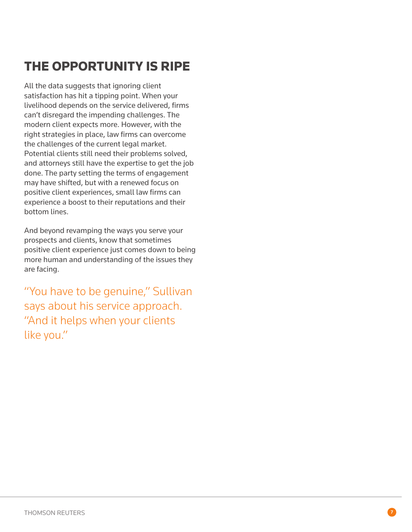## THE OPPORTUNITY IS RIPE

All the data suggests that ignoring client satisfaction has hit a tipping point. When your livelihood depends on the service delivered, firms can't disregard the impending challenges. The modern client expects more. However, with the right strategies in place, law firms can overcome the challenges of the current legal market. Potential clients still need their problems solved, and attorneys still have the expertise to get the job done. The party setting the terms of engagement may have shifted, but with a renewed focus on positive client experiences, small law firms can experience a boost to their reputations and their bottom lines.

And beyond revamping the ways you serve your prospects and clients, know that sometimes positive client experience just comes down to being more human and understanding of the issues they are facing.

"You have to be genuine," Sullivan says about his service approach. "And it helps when your clients like you."